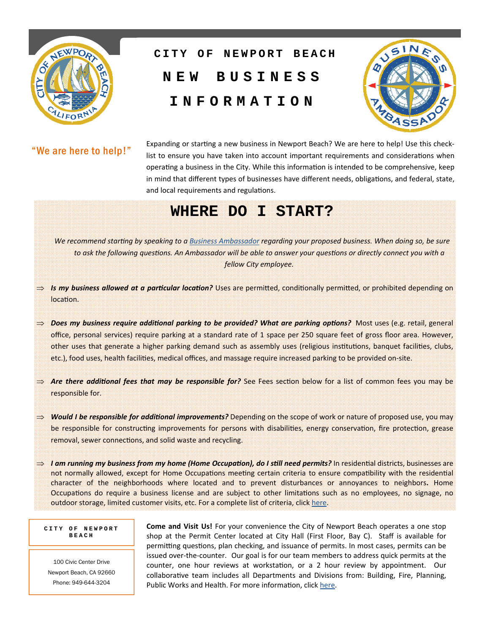

# **NEW BUSINESS INFORMATION CITY OF NEWPORT BEACH**



#### "We are here to help!"

Expanding or starting a new business in Newport Beach? We are here to help! Use this checklist to ensure you have taken into account important requirements and considerations when operating a business in the City. While this information is intended to be comprehensive, keep in mind that different types of businesses have different needs, obligations, and federal, state, and local requirements and regulations.

# **WHERE DO I START?**

*We recommend starting by speaking to a Business Ambassador regarding your proposed business. When doing so, be sure to ask the following quesƟons. An Ambassador will be able to answer your quesƟons or directly connect you with a fellow City employee.* 

- $\Rightarrow$  *Is my business allowed at a particular location?* Uses are permitted, conditionally permitted, or prohibited depending on location.
- $\Rightarrow$  Does my business require additional parking to be provided? What are parking options? Most uses (e.g. retail, general office, personal services) require parking at a standard rate of 1 space per 250 square feet of gross floor area. However, other uses that generate a higher parking demand such as assembly uses (religious institutions, banquet facilities, clubs, etc.), food uses, health facilities, medical offices, and massage require increased parking to be provided on-site.
- $\Rightarrow$  **Are there additional fees that may be responsible for?** See Fees section below for a list of common fees you may be responsible for.
- $\implies$  Would I be responsible for additional improvements? Depending on the scope of work or nature of proposed use, you may be responsible for constructing improvements for persons with disabilities, energy conservation, fire protection, grease removal, sewer connections, and solid waste and recycling.
- $\Rightarrow$  *I am running my business from my home (Home Occupation), do I still need permits?* **In residential districts, businesses are** not normally allowed, except for Home Occupations meeting certain criteria to ensure compatibility with the residential character of the neighborhoods where located and to prevent disturbances or annoyances to neighbors**.** Home Occupations do require a business license and are subject to other limitations such as no employees, no signage, no outdoor storage, limited customer visits, etc. For a complete list of criteria, click here.

#### **CITY OF NEWPORT BEACH**

100 Civic Center Drive Newport Beach, CA 92660 Phone: 949-644-3204

**Come and Visit Us!** For your convenience the City of Newport Beach operates a one stop shop at the Permit Center located at City Hall (First Floor, Bay C). Staff is available for permitting questions, plan checking, and issuance of permits. In most cases, permits can be issued over-the-counter. Our goal is for our team members to address quick permits at the counter, one hour reviews at workstation, or a 2 hour review by appointment. Our collaborative team includes all Departments and Divisions from: Building, Fire, Planning, Public Works and Health. For more information, click here.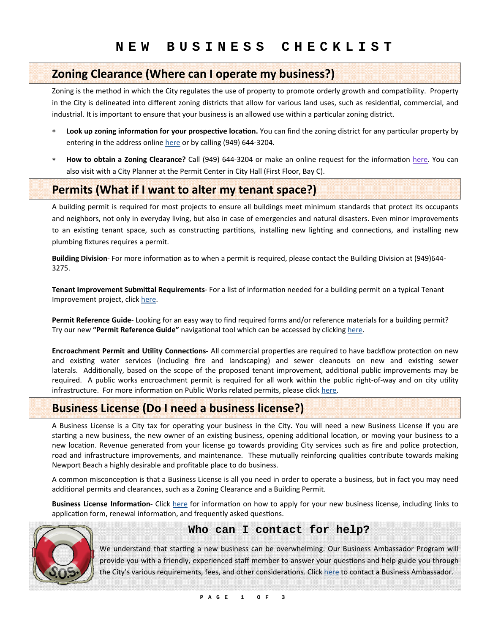#### **Zoning Clearance (Where can I operate my business?)**

Zoning is the method in which the City regulates the use of property to promote orderly growth and compatibility. Property in the City is delineated into different zoning districts that allow for various land uses, such as residential, commercial, and industrial. It is important to ensure that your business is an allowed use within a particular zoning district.

- **Look up zoning informaƟon for your prospecƟve locaƟon.** You can find the zoning district for any parƟcular property by entering in the address online here or by calling (949) 644-3204.
- How to obtain a Zoning Clearance? Call (949) 644-3204 or make an online request for the information here. You can also visit with a City Planner at the Permit Center in City Hall (First Floor, Bay C).

# **Permits (What if I want to alter my tenant space?)**

 A building permit is required for most projects to ensure all buildings meet minimum standards that protect its occupants and neighbors, not only in everyday living, but also in case of emergencies and natural disasters. Even minor improvements to an existing tenant space, such as constructing partitions, installing new lighting and connections, and installing new plumbing fixtures requires a permit.

Building Division- For more information as to when a permit is required, please contact the Building Division at (949)644-3275.

**Tenant Improvement Submittal Requirements- For a list of information needed for a building permit on a typical Tenant** Improvement project, click here.

**Permit Reference Guide**- Looking for an easy way to find required forms and/or reference materials for a building permit? Try our new "Permit Reference Guide" navigational tool which can be accessed by clicking here.

**Encroachment Permit and Utility Connections-All commercial properties are required to have backflow protection on new** and existing water services (including fire and landscaping) and sewer cleanouts on new and existing sewer laterals. Additionally, based on the scope of the proposed tenant improvement, additional public improvements may be required. A public works encroachment permit is required for all work within the public right-of-way and on city utility infrastructure. For more information on Public Works related permits, please click here.

### **Business License (Do I need a business license?)**

A Business License is a City tax for operating your business in the City. You will need a new Business License if you are starting a new business, the new owner of an existing business, opening additional location, or moving your business to a new location. Revenue generated from your license go towards providing City services such as fire and police protection, road and infrastructure improvements, and maintenance. These mutually reinforcing qualities contribute towards making Newport Beach a highly desirable and profitable place to do business.

A common misconception is that a Business License is all you need in order to operate a business, but in fact you may need additional permits and clearances, such as a Zoning Clearance and a Building Permit.

**Business License Information-** Click here for information on how to apply for your new business license, including links to application form, renewal information, and frequently asked questions.



#### **Who can I contact for help?**

We understand that starting a new business can be overwhelming. Our Business Ambassador Program will provide you with a friendly, experienced staff member to answer your questions and help guide you through the City's various requirements, fees, and other considerations. Click here to contact a Business Ambassador.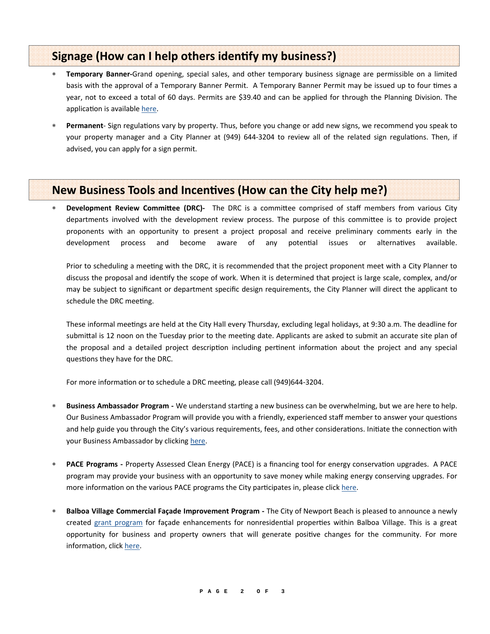### **Signage** (How can I help others identify my business?)

- **Temporary Banner‐**Grand opening, special sales, and other temporary business signage are permissible on a limited basis with the approval of a Temporary Banner Permit. A Temporary Banner Permit may be issued up to four times a year, not to exceed a total of 60 days. Permits are \$39.40 and can be applied for through the Planning Division. The application is available here.
- **Permanent** Sign regulations vary by property. Thus, before you change or add new signs, we recommend you speak to your property manager and a City Planner at (949) 644-3204 to review all of the related sign regulations. Then, if advised, you can apply for a sign permit.

#### **New Business Tools and IncenƟves (How can the City help me?)**

**Bevelopment Review Committee (DRC)<sup>-</sup>** The DRC is a committee comprised of staff members from various City departments involved with the development review process. The purpose of this committee is to provide project proponents with an opportunity to present a project proposal and receive preliminary comments early in the development process and become aware of any potential issues or alternatives available.

Prior to scheduling a meeting with the DRC, it is recommended that the project proponent meet with a City Planner to discuss the proposal and identify the scope of work. When it is determined that project is large scale, complex, and/or may be subject to significant or department specific design requirements, the City Planner will direct the applicant to schedule the DRC meeting.

These informal meetings are held at the City Hall every Thursday, excluding legal holidays, at 9:30 a.m. The deadline for submittal is 12 noon on the Tuesday prior to the meeting date. Applicants are asked to submit an accurate site plan of the proposal and a detailed project description including pertinent information about the project and any special questions they have for the DRC.

For more information or to schedule a DRC meeting, please call (949)644-3204.

- **Business Ambassador Program** We understand starting a new business can be overwhelming, but we are here to help. Our Business Ambassador Program will provide you with a friendly, experienced staff member to answer your questions and help guide you through the City's various requirements, fees, and other considerations. Initiate the connection with your Business Ambassador by clicking here.
- **PACE Programs** Property Assessed Clean Energy (PACE) is a financing tool for energy conservation upgrades. A PACE program may provide your business with an opportunity to save money while making energy conserving upgrades. For more information on the various PACE programs the City participates in, please click here.
- **Balboa Village Commercial Façade Improvement Program ‐** The City of Newport Beach is pleased to announce a newly created grant program for façade enhancements for nonresidential properties within Balboa Village. This is a great opportunity for business and property owners that will generate positive changes for the community. For more information, click here.